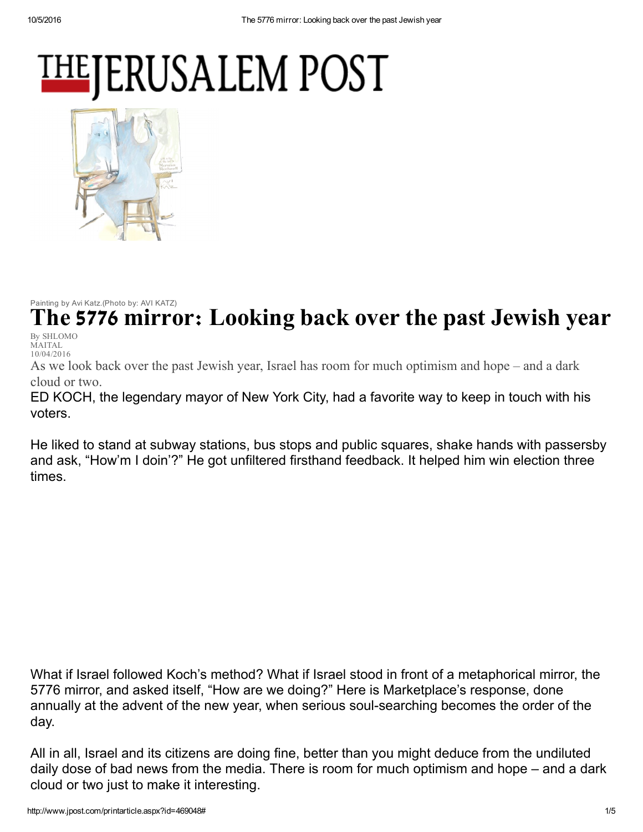## **THEJERUSALEM POST**



Painting by Avi Katz.(Photo by: AVI KATZ)

he 5776 mirror: Looking back over the past Jewish year

By SHLOMO MAITAL 10/04/2016

As we look back over the past Jewish year, Israel has room for much optimism and hope – and a dark cloud or two.

ED KOCH, the legendary mayor of New York City, had a favorite way to keep in touch with his voters.

He liked to stand at subway stations, bus stops and public squares, shake hands with passersby and ask, "How'm I doin'?" He got unfiltered firsthand feedback. It helped him win election three times.

What if Israel followed Koch's method? What if Israel stood in front of a metaphorical mirror, the 5776 mirror, and asked itself, "How are we doing?" Here is Marketplace's response, done annually at the advent of the new year, when serious soul-searching becomes the order of the day.

All in all, Israel and its citizens are doing fine, better than you might deduce from the undiluted daily dose of bad news from the media. There is room for much optimism and hope – and a dark cloud or two just to make it interesting.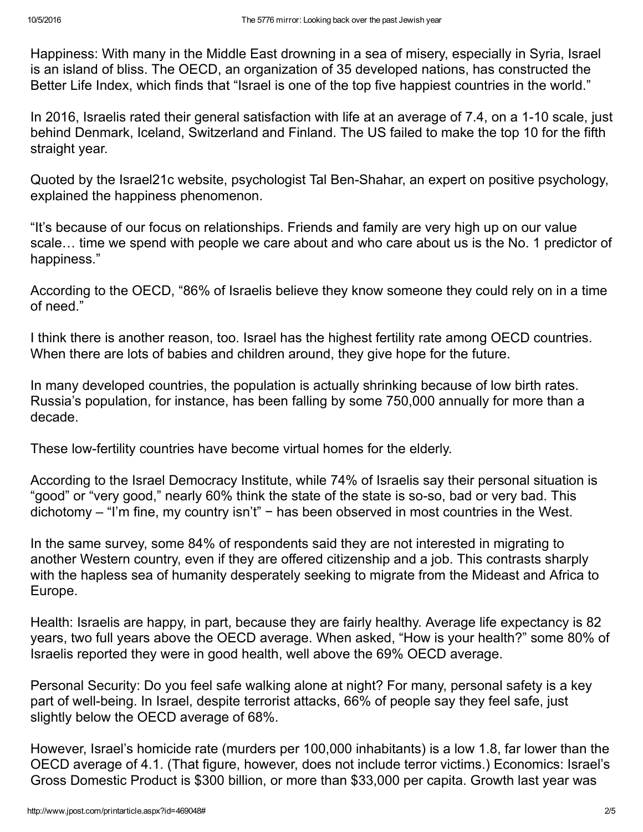Happiness: With many in the Middle East drowning in a sea of misery, especially in Syria, Israel is an island of bliss. The OECD, an organization of 35 developed nations, has constructed the Better Life Index, which finds that "Israel is one of the top five happiest countries in the world."

In 2016, Israelis rated their general satisfaction with life at an average of 7.4, on a 1-10 scale, just behind Denmark, Iceland, Switzerland and Finland. The US failed to make the top 10 for the fifth straight year.

Quoted by the Israel21c website, psychologist Tal Ben-Shahar, an expert on positive psychology, explained the happiness phenomenon.

"It's because of our focus on relationships. Friends and family are very high up on our value scale… time we spend with people we care about and who care about us is the No. 1 predictor of happiness."

According to the OECD, "86% of Israelis believe they know someone they could rely on in a time of need."

I think there is another reason, too. Israel has the highest fertility rate among OECD countries. When there are lots of babies and children around, they give hope for the future.

In many developed countries, the population is actually shrinking because of low birth rates. Russia's population, for instance, has been falling by some 750,000 annually for more than a decade.

These low-fertility countries have become virtual homes for the elderly.

According to the Israel Democracy Institute, while 74% of Israelis say their personal situation is "good" or "very good," nearly 60% think the state of the state is so-so, bad or very bad. This dichotomy – "I'm fine, my country isn't" − has been observed in most countries in the West.

In the same survey, some 84% of respondents said they are not interested in migrating to another Western country, even if they are offered citizenship and a job. This contrasts sharply with the hapless sea of humanity desperately seeking to migrate from the Mideast and Africa to Europe.

Health: Israelis are happy, in part, because they are fairly healthy. Average life expectancy is 82 years, two full years above the OECD average. When asked, "How is your health?" some 80% of Israelis reported they were in good health, well above the 69% OECD average.

Personal Security: Do you feel safe walking alone at night? For many, personal safety is a key part of well-being. In Israel, despite terrorist attacks, 66% of people say they feel safe, just slightly below the OECD average of 68%.

However, Israel's homicide rate (murders per 100,000 inhabitants) is a low 1.8, far lower than the OECD average of 4.1. (That figure, however, does not include terror victims.) Economics: Israel's Gross Domestic Product is \$300 billion, or more than \$33,000 per capita. Growth last year was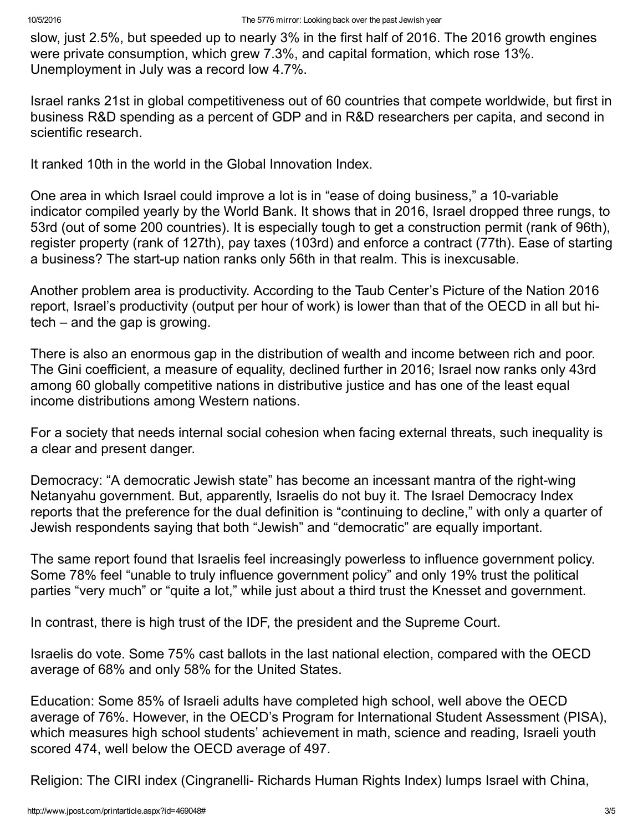slow, just 2.5%, but speeded up to nearly 3% in the first half of 2016. The 2016 growth engines were private consumption, which grew 7.3%, and capital formation, which rose 13%. Unemployment in July was a record low 4.7%.

Israel ranks 21st in global competitiveness out of 60 countries that compete worldwide, but first in business R&D spending as a percent of GDP and in R&D researchers per capita, and second in scientific research.

It ranked 10th in the world in the Global Innovation Index.

One area in which Israel could improve a lot is in "ease of doing business," a 10-variable indicator compiled yearly by the World Bank. It shows that in 2016, Israel dropped three rungs, to 53rd (out of some 200 countries). It is especially tough to get a construction permit (rank of 96th), register property (rank of 127th), pay taxes (103rd) and enforce a contract (77th). Ease of starting a business? The start-up nation ranks only 56th in that realm. This is inexcusable.

Another problem area is productivity. According to the Taub Center's Picture of the Nation 2016 report, Israel's productivity (output per hour of work) is lower than that of the OECD in all but hitech – and the gap is growing.

There is also an enormous gap in the distribution of wealth and income between rich and poor. The Gini coefficient, a measure of equality, declined further in 2016; Israel now ranks only 43rd among 60 globally competitive nations in distributive justice and has one of the least equal income distributions among Western nations.

For a society that needs internal social cohesion when facing external threats, such inequality is a clear and present danger.

Democracy: "A democratic Jewish state" has become an incessant mantra of the right-wing Netanyahu government. But, apparently, Israelis do not buy it. The Israel Democracy Index reports that the preference for the dual definition is "continuing to decline," with only a quarter of Jewish respondents saying that both "Jewish" and "democratic" are equally important.

The same report found that Israelis feel increasingly powerless to influence government policy. Some 78% feel "unable to truly influence government policy" and only 19% trust the political parties "very much" or "quite a lot," while just about a third trust the Knesset and government.

In contrast, there is high trust of the IDF, the president and the Supreme Court.

Israelis do vote. Some 75% cast ballots in the last national election, compared with the OECD average of 68% and only 58% for the United States.

Education: Some 85% of Israeli adults have completed high school, well above the OECD average of 76%. However, in the OECD's Program for International Student Assessment (PISA), which measures high school students' achievement in math, science and reading, Israeli youth scored 474, well below the OECD average of 497.

Religion: The CIRI index (Cingranelli- Richards Human Rights Index) lumps Israel with China,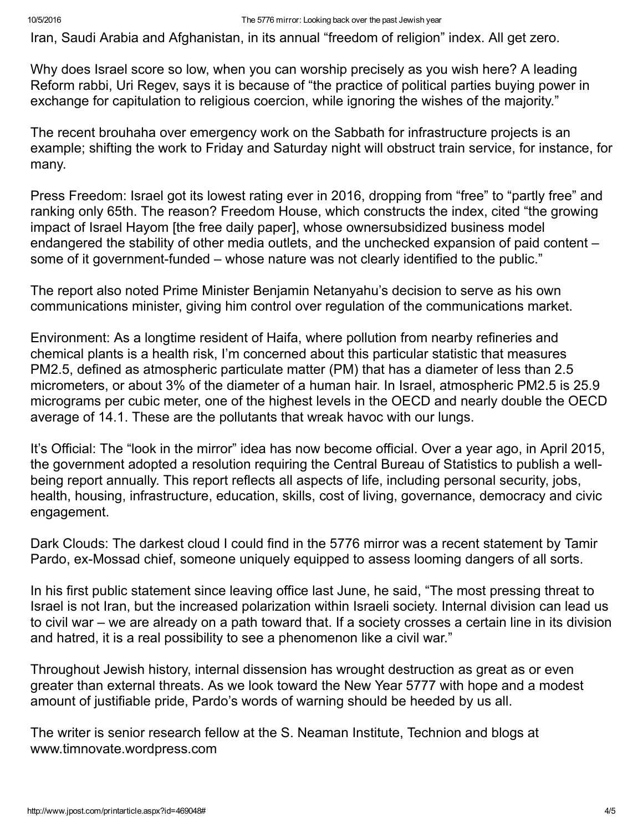Iran, Saudi Arabia and Afghanistan, in its annual "freedom of religion" index. All get zero.

Why does Israel score so low, when you can worship precisely as you wish here? A leading Reform rabbi, Uri Regev, says it is because of "the practice of political parties buying power in exchange for capitulation to religious coercion, while ignoring the wishes of the majority."

The recent brouhaha over emergency work on the Sabbath for infrastructure projects is an example; shifting the work to Friday and Saturday night will obstruct train service, for instance, for many.

Press Freedom: Israel got its lowest rating ever in 2016, dropping from "free" to "partly free" and ranking only 65th. The reason? Freedom House, which constructs the index, cited "the growing impact of Israel Hayom [the free daily paper], whose ownersubsidized business model endangered the stability of other media outlets, and the unchecked expansion of paid content – some of it government-funded  $-$  whose nature was not clearly identified to the public."

The report also noted Prime Minister Benjamin Netanyahu's decision to serve as his own communications minister, giving him control over regulation of the communications market.

Environment: As a longtime resident of Haifa, where pollution from nearby refineries and chemical plants is a health risk, I'm concerned about this particular statistic that measures PM2.5, defined as atmospheric particulate matter (PM) that has a diameter of less than 2.5 micrometers, or about 3% of the diameter of a human hair. In Israel, atmospheric PM2.5 is 25.9 micrograms per cubic meter, one of the highest levels in the OECD and nearly double the OECD average of 14.1. These are the pollutants that wreak havoc with our lungs.

It's Official: The "look in the mirror" idea has now become official. Over a year ago, in April 2015, the government adopted a resolution requiring the Central Bureau of Statistics to publish a wellbeing report annually. This report reflects all aspects of life, including personal security, jobs, health, housing, infrastructure, education, skills, cost of living, governance, democracy and civic engagement.

Dark Clouds: The darkest cloud I could find in the 5776 mirror was a recent statement by Tamir Pardo, ex-Mossad chief, someone uniquely equipped to assess looming dangers of all sorts.

In his first public statement since leaving office last June, he said, "The most pressing threat to Israel is not Iran, but the increased polarization within Israeli society. Internal division can lead us to civil war – we are already on a path toward that. If a society crosses a certain line in its division and hatred, it is a real possibility to see a phenomenon like a civil war."

Throughout Jewish history, internal dissension has wrought destruction as great as or even greater than external threats. As we look toward the New Year 5777 with hope and a modest amount of justifiable pride, Pardo's words of warning should be heeded by us all.

The writer is senior research fellow at the S. Neaman Institute, Technion and blogs at www.timnovate.wordpress.com